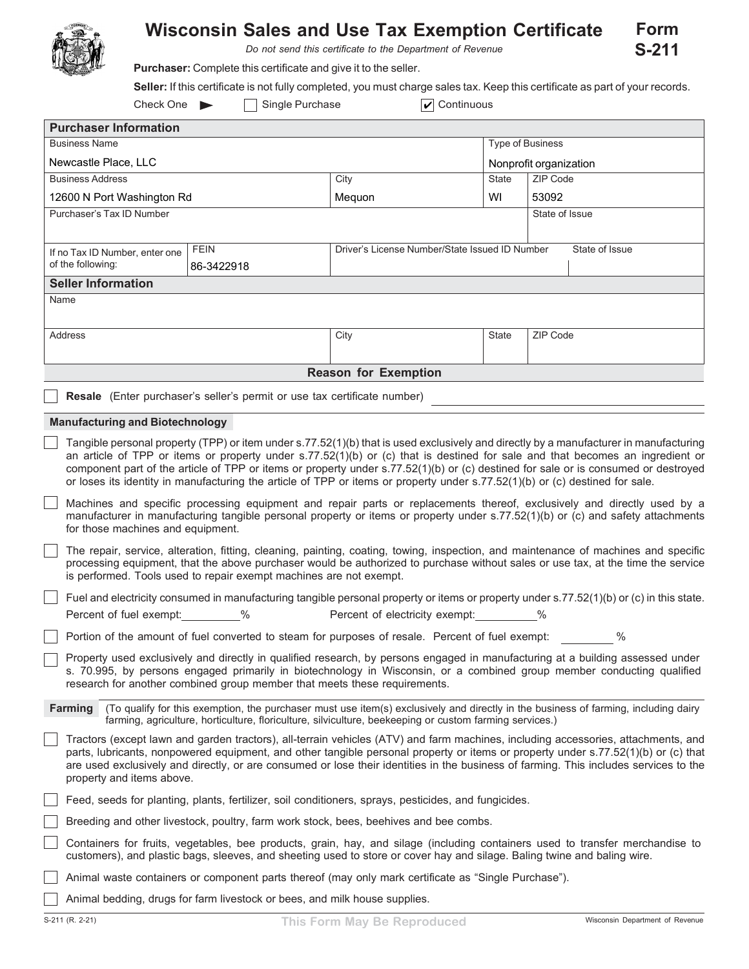

## **Wisconsin Sales and Use Tax Exemption Certificate**

*Do not send this certificate to the Department of Revenue*

**Purchaser:** Complete this certificate and give it to the seller.

**Seller:** If this certificate is not fully completed, you must charge sales tax. Keep this certificate as part of your records.

|                                                                                                                                                                                                                                                                  | $\boxed{\mathbf{v}}$ Continuous<br>Check One<br>Single Purchase                                                                                                                                                                                                                                                                                                                                                                                                                                                                              |                                                                                                  |                                                                                                      |  |                         |                        |  |  |  |  |
|------------------------------------------------------------------------------------------------------------------------------------------------------------------------------------------------------------------------------------------------------------------|----------------------------------------------------------------------------------------------------------------------------------------------------------------------------------------------------------------------------------------------------------------------------------------------------------------------------------------------------------------------------------------------------------------------------------------------------------------------------------------------------------------------------------------------|--------------------------------------------------------------------------------------------------|------------------------------------------------------------------------------------------------------|--|-------------------------|------------------------|--|--|--|--|
| <b>Purchaser Information</b>                                                                                                                                                                                                                                     |                                                                                                                                                                                                                                                                                                                                                                                                                                                                                                                                              |                                                                                                  |                                                                                                      |  |                         |                        |  |  |  |  |
|                                                                                                                                                                                                                                                                  | <b>Business Name</b>                                                                                                                                                                                                                                                                                                                                                                                                                                                                                                                         |                                                                                                  |                                                                                                      |  | <b>Type of Business</b> |                        |  |  |  |  |
|                                                                                                                                                                                                                                                                  | Newcastle Place, LLC                                                                                                                                                                                                                                                                                                                                                                                                                                                                                                                         |                                                                                                  |                                                                                                      |  |                         | Nonprofit organization |  |  |  |  |
| <b>Business Address</b>                                                                                                                                                                                                                                          |                                                                                                                                                                                                                                                                                                                                                                                                                                                                                                                                              |                                                                                                  | City                                                                                                 |  | State                   | ZIP Code               |  |  |  |  |
| 12600 N Port Washington Rd                                                                                                                                                                                                                                       |                                                                                                                                                                                                                                                                                                                                                                                                                                                                                                                                              |                                                                                                  | Mequon                                                                                               |  | WI                      | 53092                  |  |  |  |  |
| Purchaser's Tax ID Number                                                                                                                                                                                                                                        |                                                                                                                                                                                                                                                                                                                                                                                                                                                                                                                                              |                                                                                                  |                                                                                                      |  |                         | State of Issue         |  |  |  |  |
|                                                                                                                                                                                                                                                                  |                                                                                                                                                                                                                                                                                                                                                                                                                                                                                                                                              |                                                                                                  |                                                                                                      |  |                         |                        |  |  |  |  |
| <b>FEIN</b><br>If no Tax ID Number, enter one                                                                                                                                                                                                                    |                                                                                                                                                                                                                                                                                                                                                                                                                                                                                                                                              |                                                                                                  | Driver's License Number/State Issued ID Number<br>State of Issue                                     |  |                         |                        |  |  |  |  |
| of the following:                                                                                                                                                                                                                                                |                                                                                                                                                                                                                                                                                                                                                                                                                                                                                                                                              | 86-3422918                                                                                       |                                                                                                      |  |                         |                        |  |  |  |  |
| <b>Seller Information</b>                                                                                                                                                                                                                                        |                                                                                                                                                                                                                                                                                                                                                                                                                                                                                                                                              |                                                                                                  |                                                                                                      |  |                         |                        |  |  |  |  |
| Name                                                                                                                                                                                                                                                             |                                                                                                                                                                                                                                                                                                                                                                                                                                                                                                                                              |                                                                                                  |                                                                                                      |  |                         |                        |  |  |  |  |
|                                                                                                                                                                                                                                                                  |                                                                                                                                                                                                                                                                                                                                                                                                                                                                                                                                              |                                                                                                  |                                                                                                      |  |                         |                        |  |  |  |  |
| Address                                                                                                                                                                                                                                                          |                                                                                                                                                                                                                                                                                                                                                                                                                                                                                                                                              |                                                                                                  | City                                                                                                 |  | State                   | ZIP Code               |  |  |  |  |
|                                                                                                                                                                                                                                                                  |                                                                                                                                                                                                                                                                                                                                                                                                                                                                                                                                              |                                                                                                  |                                                                                                      |  |                         |                        |  |  |  |  |
|                                                                                                                                                                                                                                                                  |                                                                                                                                                                                                                                                                                                                                                                                                                                                                                                                                              |                                                                                                  | <b>Reason for Exemption</b>                                                                          |  |                         |                        |  |  |  |  |
|                                                                                                                                                                                                                                                                  |                                                                                                                                                                                                                                                                                                                                                                                                                                                                                                                                              |                                                                                                  |                                                                                                      |  |                         |                        |  |  |  |  |
| Resale (Enter purchaser's seller's permit or use tax certificate number)                                                                                                                                                                                         |                                                                                                                                                                                                                                                                                                                                                                                                                                                                                                                                              |                                                                                                  |                                                                                                      |  |                         |                        |  |  |  |  |
| <b>Manufacturing and Biotechnology</b>                                                                                                                                                                                                                           |                                                                                                                                                                                                                                                                                                                                                                                                                                                                                                                                              |                                                                                                  |                                                                                                      |  |                         |                        |  |  |  |  |
|                                                                                                                                                                                                                                                                  | Tangible personal property (TPP) or item under s.77.52(1)(b) that is used exclusively and directly by a manufacturer in manufacturing<br>an article of TPP or items or property under s.77.52(1)(b) or (c) that is destined for sale and that becomes an ingredient or<br>component part of the article of TPP or items or property under s.77.52(1)(b) or (c) destined for sale or is consumed or destroyed<br>or loses its identity in manufacturing the article of TPP or items or property under s.77.52(1)(b) or (c) destined for sale. |                                                                                                  |                                                                                                      |  |                         |                        |  |  |  |  |
|                                                                                                                                                                                                                                                                  | Machines and specific processing equipment and repair parts or replacements thereof, exclusively and directly used by a<br>manufacturer in manufacturing tangible personal property or items or property under s.77.52(1)(b) or (c) and safety attachments<br>for those machines and equipment.                                                                                                                                                                                                                                              |                                                                                                  |                                                                                                      |  |                         |                        |  |  |  |  |
|                                                                                                                                                                                                                                                                  | The repair, service, alteration, fitting, cleaning, painting, coating, towing, inspection, and maintenance of machines and specific<br>processing equipment, that the above purchaser would be authorized to purchase without sales or use tax, at the time the service<br>is performed. Tools used to repair exempt machines are not exempt.                                                                                                                                                                                                |                                                                                                  |                                                                                                      |  |                         |                        |  |  |  |  |
|                                                                                                                                                                                                                                                                  | Fuel and electricity consumed in manufacturing tangible personal property or items or property under s.77.52(1)(b) or (c) in this state.                                                                                                                                                                                                                                                                                                                                                                                                     |                                                                                                  |                                                                                                      |  |                         |                        |  |  |  |  |
|                                                                                                                                                                                                                                                                  | Percent of fuel exempt: %                                                                                                                                                                                                                                                                                                                                                                                                                                                                                                                    |                                                                                                  | Percent of electricity exempt: %                                                                     |  |                         |                        |  |  |  |  |
|                                                                                                                                                                                                                                                                  |                                                                                                                                                                                                                                                                                                                                                                                                                                                                                                                                              | Portion of the amount of fuel converted to steam for purposes of resale. Percent of fuel exempt: |                                                                                                      |  |                         | $\%$                   |  |  |  |  |
|                                                                                                                                                                                                                                                                  | Property used exclusively and directly in qualified research, by persons engaged in manufacturing at a building assessed under<br>s. 70.995, by persons engaged primarily in biotechnology in Wisconsin, or a combined group member conducting qualified<br>research for another combined group member that meets these requirements.                                                                                                                                                                                                        |                                                                                                  |                                                                                                      |  |                         |                        |  |  |  |  |
| <b>Farming</b><br>(To qualify for this exemption, the purchaser must use item(s) exclusively and directly in the business of farming, including dairy<br>farming, agriculture, horticulture, floriculture, silviculture, beekeeping or custom farming services.) |                                                                                                                                                                                                                                                                                                                                                                                                                                                                                                                                              |                                                                                                  |                                                                                                      |  |                         |                        |  |  |  |  |
|                                                                                                                                                                                                                                                                  | Tractors (except lawn and garden tractors), all-terrain vehicles (ATV) and farm machines, including accessories, attachments, and<br>parts, lubricants, nonpowered equipment, and other tangible personal property or items or property under s.77.52(1)(b) or (c) that<br>are used exclusively and directly, or are consumed or lose their identities in the business of farming. This includes services to the<br>property and items above.                                                                                                |                                                                                                  |                                                                                                      |  |                         |                        |  |  |  |  |
|                                                                                                                                                                                                                                                                  | Feed, seeds for planting, plants, fertilizer, soil conditioners, sprays, pesticides, and fungicides.                                                                                                                                                                                                                                                                                                                                                                                                                                         |                                                                                                  |                                                                                                      |  |                         |                        |  |  |  |  |
|                                                                                                                                                                                                                                                                  | Breeding and other livestock, poultry, farm work stock, bees, beehives and bee combs.                                                                                                                                                                                                                                                                                                                                                                                                                                                        |                                                                                                  |                                                                                                      |  |                         |                        |  |  |  |  |
|                                                                                                                                                                                                                                                                  | Containers for fruits, vegetables, bee products, grain, hay, and silage (including containers used to transfer merchandise to<br>customers), and plastic bags, sleeves, and sheeting used to store or cover hay and silage. Baling twine and baling wire.                                                                                                                                                                                                                                                                                    |                                                                                                  |                                                                                                      |  |                         |                        |  |  |  |  |
|                                                                                                                                                                                                                                                                  |                                                                                                                                                                                                                                                                                                                                                                                                                                                                                                                                              |                                                                                                  | Animal waste containers or component parts thereof (may only mark certificate as "Single Purchase"). |  |                         |                        |  |  |  |  |
|                                                                                                                                                                                                                                                                  | Animal bedding, drugs for farm livestock or bees, and milk house supplies.                                                                                                                                                                                                                                                                                                                                                                                                                                                                   |                                                                                                  |                                                                                                      |  |                         |                        |  |  |  |  |

**Form S-211**